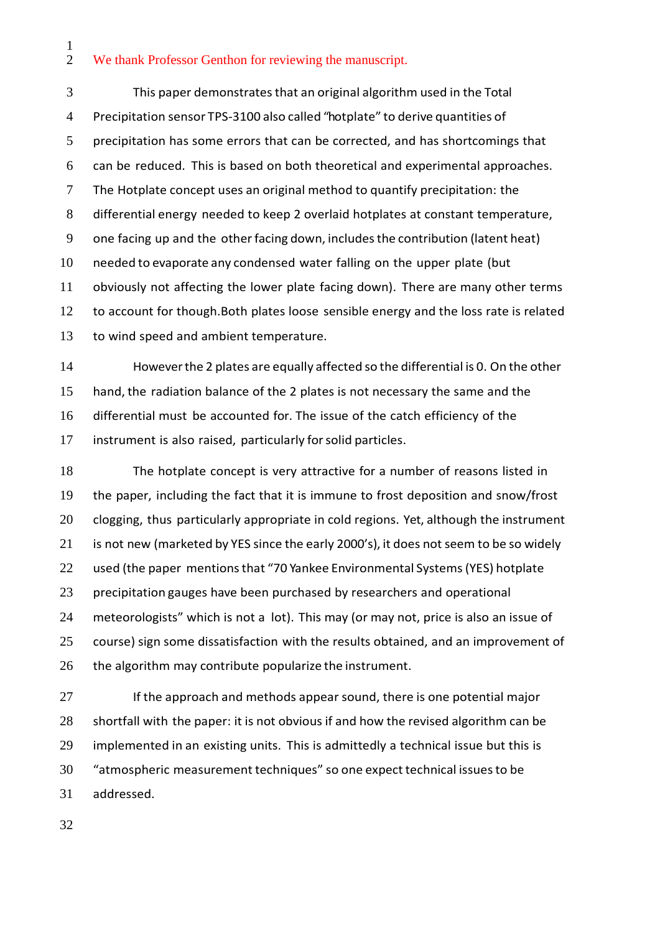$\frac{1}{2}$ We thank Professor Genthon for reviewing the manuscript.

 This paper demonstratesthat an original algorithm used in the Total Precipitation sensor TPS-3100 also called "hotplate" to derive quantities of precipitation has some errors that can be corrected, and has shortcomings that can be reduced. This is based on both theoretical and experimental approaches. The Hotplate concept uses an original method to quantify precipitation: the differential energy needed to keep 2 overlaid hotplates at constant temperature, 9 one facing up and the other facing down, includes the contribution (latent heat) needed to evaporate any condensed water falling on the upper plate (but obviously not affecting the lower plate facing down). There are many other terms 12 to account for though. Both plates loose sensible energy and the loss rate is related to wind speed and ambient temperature.

 Howeverthe 2 plates are equally affected so the differential is 0. On the other hand, the radiation balance of the 2 plates is not necessary the same and the differential must be accounted for. The issue of the catch efficiency of the instrument is also raised, particularly forsolid particles.

 The hotplate concept is very attractive for a number of reasons listed in the paper, including the fact that it is immune to frost deposition and snow/frost clogging, thus particularly appropriate in cold regions. Yet, although the instrument 21 is not new (marketed by YES since the early 2000's), it does not seem to be so widely used (the paper mentionsthat "70 Yankee Environmental Systems(YES) hotplate precipitation gauges have been purchased by researchers and operational meteorologists" which is not a lot). This may (or may not, price is also an issue of course) sign some dissatisfaction with the results obtained, and an improvement of 26 the algorithm may contribute popularize the instrument.

27 If the approach and methods appear sound, there is one potential major shortfall with the paper: it is not obvious if and how the revised algorithm can be implemented in an existing units. This is admittedly a technical issue but this is "atmospheric measurement techniques" so one expect technical issuesto be addressed.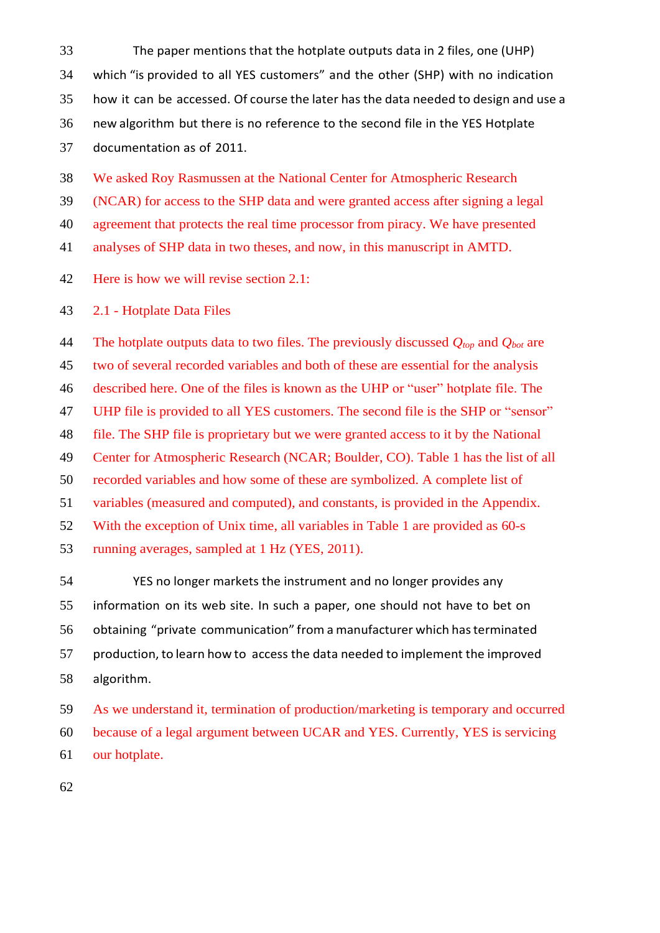The paper mentions that the hotplate outputs data in 2 files, one (UHP) which "is provided to all YES customers" and the other (SHP) with no indication how it can be accessed. Of course the later has the data needed to design and use a new algorithm but there is no reference to the second file in the YES Hotplate documentation as of 2011.

We asked Roy Rasmussen at the National Center for Atmospheric Research

(NCAR) for access to the SHP data and were granted access after signing a legal

agreement that protects the real time processor from piracy. We have presented

analyses of SHP data in two theses, and now, in this manuscript in AMTD.

Here is how we will revise section 2.1:

2.1 - Hotplate Data Files

 The hotplate outputs data to two files. The previously discussed *Qtop* and *Qbot* are two of several recorded variables and both of these are essential for the analysis described here. One of the files is known as the UHP or "user" hotplate file. The UHP file is provided to all YES customers. The second file is the SHP or "sensor" file. The SHP file is proprietary but we were granted access to it by the National Center for Atmospheric Research (NCAR; Boulder, CO). Table 1 has the list of all recorded variables and how some of these are symbolized. A complete list of variables (measured and computed), and constants, is provided in the Appendix. With the exception of Unix time, all variables in Table 1 are provided as 60-s running averages, sampled at 1 Hz (YES, 2011).

 YES no longer markets the instrument and no longer provides any information on its web site. In such a paper, one should not have to bet on obtaining "private communication" from a manufacturer which hasterminated production, to learn how to access the data needed to implement the improved algorithm.

 As we understand it, termination of production/marketing is temporary and occurred because of a legal argument between UCAR and YES. Currently, YES is servicing our hotplate.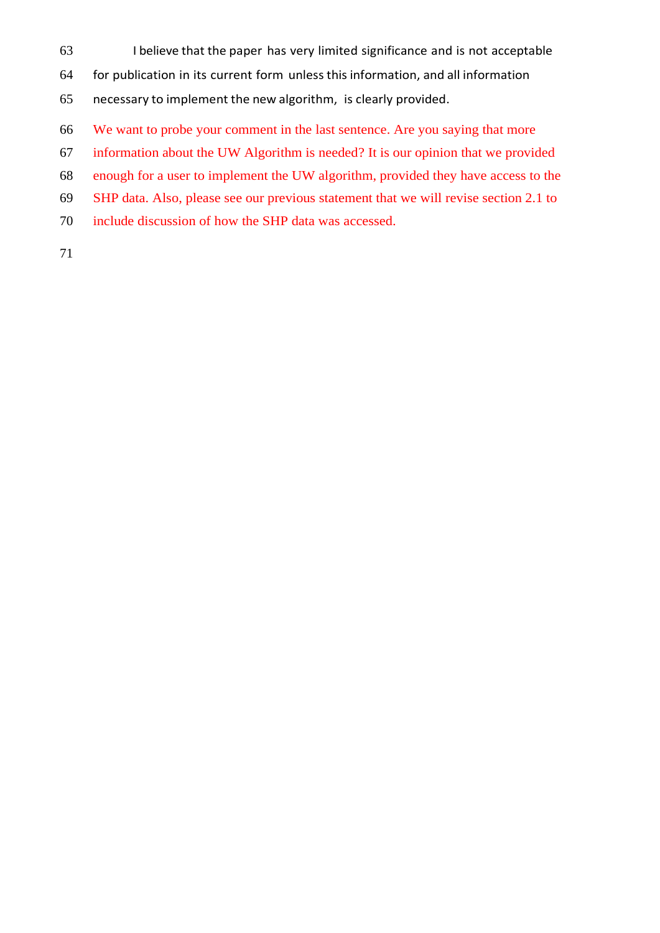- I believe that the paper has very limited significance and is not acceptable
- for publication in its current form unless this information, and all information
- necessary to implement the new algorithm, is clearly provided.
- We want to probe your comment in the last sentence. Are you saying that more
- information about the UW Algorithm is needed? It is our opinion that we provided
- enough for a user to implement the UW algorithm, provided they have access to the
- SHP data. Also, please see our previous statement that we will revise section 2.1 to
- include discussion of how the SHP data was accessed.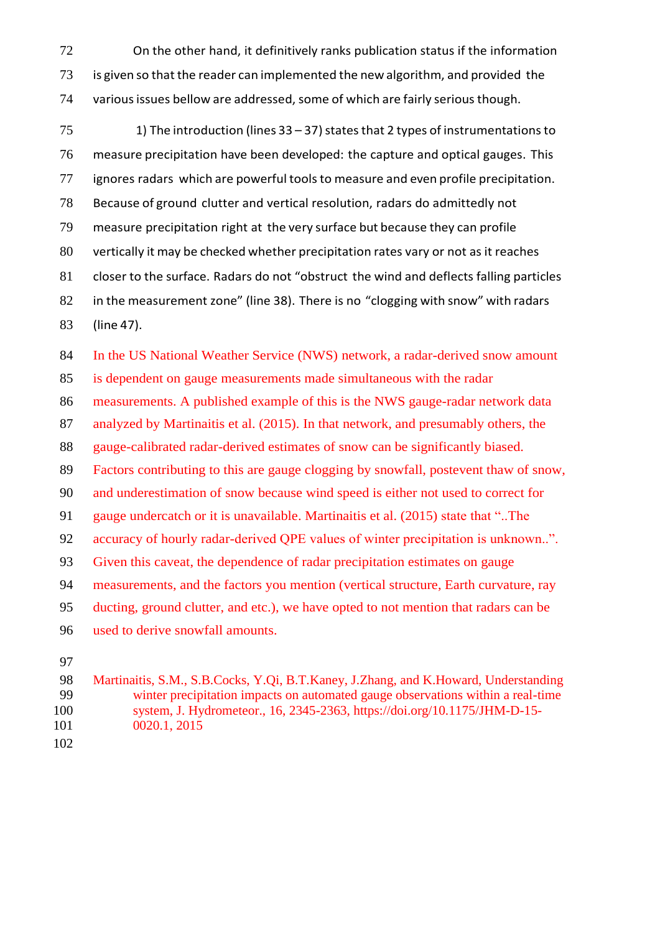- On the other hand, it definitively ranks publication status if the information 73 is given so that the reader can implemented the new algorithm, and provided the 74 various issues bellow are addressed, some of which are fairly serious though.
- 75 1) The introduction (lines  $33 37$ ) states that 2 types of instrumentations to measure precipitation have been developed: the capture and optical gauges. This ignores radars which are powerful toolsto measure and even profile precipitation. Because of ground clutter and vertical resolution, radars do admittedly not measure precipitation right at the very surface but because they can profile vertically it may be checked whether precipitation rates vary or not as it reaches closer to the surface. Radars do not "obstruct the wind and deflects falling particles in the measurement zone" (line 38). There is no "clogging with snow" with radars (line 47).

 In the US National Weather Service (NWS) network, a radar-derived snow amount is dependent on gauge measurements made simultaneous with the radar measurements. A published example of this is the NWS gauge-radar network data analyzed by Martinaitis et al. (2015). In that network, and presumably others, the gauge-calibrated radar-derived estimates of snow can be significantly biased. Factors contributing to this are gauge clogging by snowfall, postevent thaw of snow, and underestimation of snow because wind speed is either not used to correct for gauge undercatch or it is unavailable. Martinaitis et al. (2015) state that "..The accuracy of hourly radar-derived QPE values of winter precipitation is unknown..". Given this caveat, the dependence of radar precipitation estimates on gauge measurements, and the factors you mention (vertical structure, Earth curvature, ray ducting, ground clutter, and etc.), we have opted to not mention that radars can be used to derive snowfall amounts.

 Martinaitis, S.M., S.B.Cocks, Y.Qi, B.T.Kaney, J.Zhang, and K.Howard, Understanding winter precipitation impacts on automated gauge observations within a real-time system, J. Hydrometeor., 16, 2345-2363, https://doi.org/10.1175/JHM-D-15- 0020.1, 2015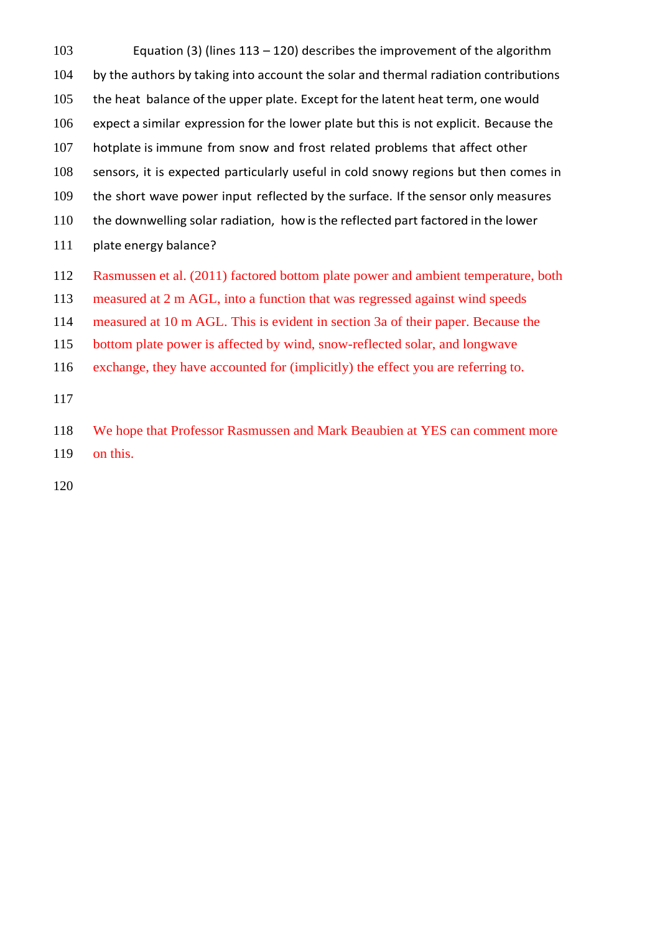Equation (3) (lines 113 – 120) describes the improvement of the algorithm 104 by the authors by taking into account the solar and thermal radiation contributions the heat balance of the upper plate. Except for the latent heat term, one would expect a similar expression for the lower plate but this is not explicit. Because the hotplate is immune from snow and frost related problems that affect other sensors, it is expected particularly useful in cold snowy regions but then comes in the short wave power input reflected by the surface. If the sensor only measures the downwelling solar radiation, how is the reflected part factored in the lower plate energy balance?

Rasmussen et al. (2011) factored bottom plate power and ambient temperature, both

measured at 2 m AGL, into a function that was regressed against wind speeds

measured at 10 m AGL. This is evident in section 3a of their paper. Because the

bottom plate power is affected by wind, snow-reflected solar, and longwave

exchange, they have accounted for (implicitly) the effect you are referring to.

 We hope that Professor Rasmussen and Mark Beaubien at YES can comment more on this.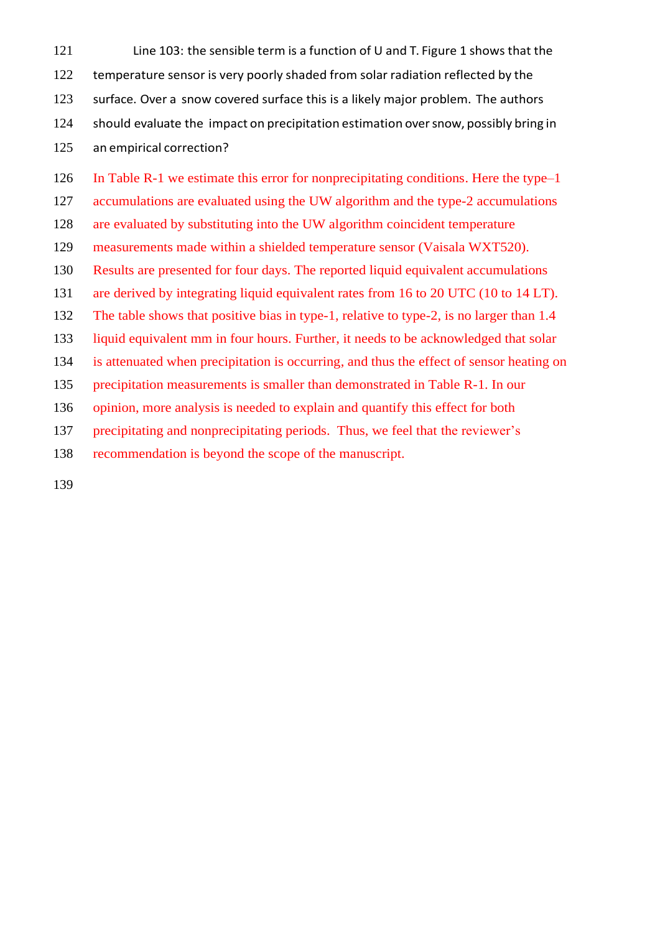Line 103: the sensible term is a function of U and T. Figure 1 shows that the 122 temperature sensor is very poorly shaded from solar radiation reflected by the surface. Over a snow covered surface this is a likely major problem. The authors should evaluate the impact on precipitation estimation oversnow, possibly bring in an empirical correction?

In Table R-1 we estimate this error for nonprecipitating conditions. Here the type–1

accumulations are evaluated using the UW algorithm and the type-2 accumulations

are evaluated by substituting into the UW algorithm coincident temperature

measurements made within a shielded temperature sensor (Vaisala WXT520).

Results are presented for four days. The reported liquid equivalent accumulations

are derived by integrating liquid equivalent rates from 16 to 20 UTC (10 to 14 LT).

The table shows that positive bias in type-1, relative to type-2, is no larger than 1.4

liquid equivalent mm in four hours. Further, it needs to be acknowledged that solar

is attenuated when precipitation is occurring, and thus the effect of sensor heating on

precipitation measurements is smaller than demonstrated in Table R-1. In our

opinion, more analysis is needed to explain and quantify this effect for both

precipitating and nonprecipitating periods. Thus, we feel that the reviewer's

recommendation is beyond the scope of the manuscript.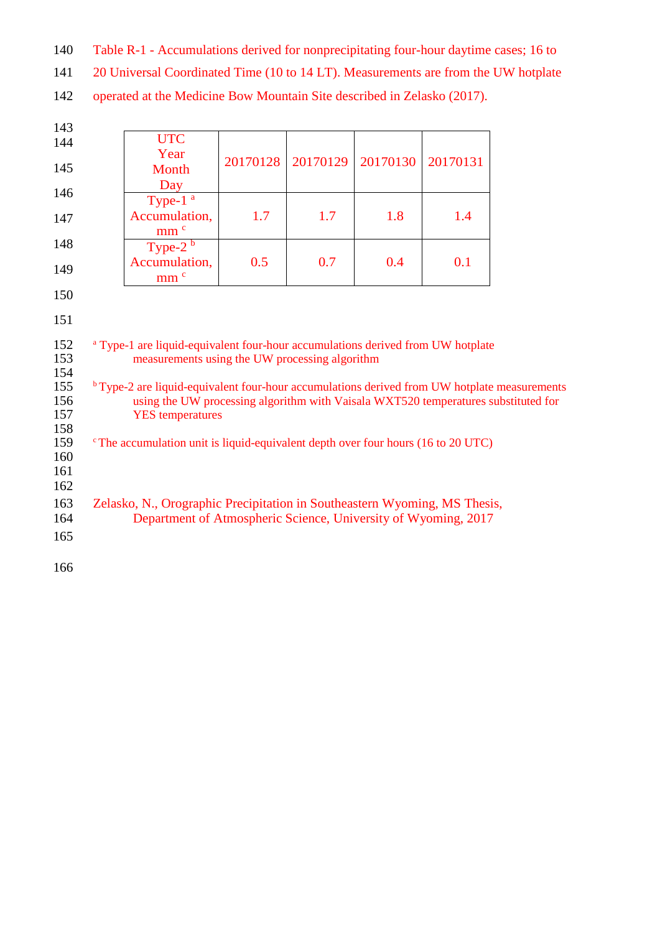Table R-1 - Accumulations derived for nonprecipitating four-hour daytime cases; 16 to

20 Universal Coordinated Time (10 to 14 LT). Measurements are from the UW hotplate

operated at the Medicine Bow Mountain Site described in Zelasko (2017).

| 143        |                                                                                                                                             |                          |          |          |          |          |  |
|------------|---------------------------------------------------------------------------------------------------------------------------------------------|--------------------------|----------|----------|----------|----------|--|
| 144        |                                                                                                                                             | <b>UTC</b>               |          |          |          |          |  |
| 145        |                                                                                                                                             | Year                     | 20170128 | 20170129 | 20170130 | 20170131 |  |
|            |                                                                                                                                             | Month                    |          |          |          |          |  |
|            |                                                                                                                                             | Day                      |          |          |          |          |  |
| 146        |                                                                                                                                             | Type-1 <sup>a</sup>      |          |          |          |          |  |
| 147        |                                                                                                                                             | Accumulation,            | 1.7      | 1.7      | 1.8      | 1.4      |  |
|            |                                                                                                                                             | mm <sup>c</sup>          |          |          |          |          |  |
| 148        |                                                                                                                                             | Type- $2^{\overline{b}}$ |          |          |          |          |  |
| 149        |                                                                                                                                             | Accumulation,            | 0.5      | 0.7      | 0.4      | 0.1      |  |
|            |                                                                                                                                             | mm <sup>c</sup>          |          |          |          |          |  |
| 150        |                                                                                                                                             |                          |          |          |          |          |  |
|            |                                                                                                                                             |                          |          |          |          |          |  |
| 151        |                                                                                                                                             |                          |          |          |          |          |  |
| 152        | <sup>a</sup> Type-1 are liquid-equivalent four-hour accumulations derived from UW hotplate                                                  |                          |          |          |          |          |  |
| 153        | measurements using the UW processing algorithm                                                                                              |                          |          |          |          |          |  |
| 154        |                                                                                                                                             |                          |          |          |          |          |  |
| 155        | <sup>b</sup> Type-2 are liquid-equivalent four-hour accumulations derived from UW hotplate measurements                                     |                          |          |          |          |          |  |
| 156        | using the UW processing algorithm with Vaisala WXT520 temperatures substituted for                                                          |                          |          |          |          |          |  |
| 157        | <b>YES</b> temperatures                                                                                                                     |                          |          |          |          |          |  |
| 158<br>159 |                                                                                                                                             |                          |          |          |          |          |  |
| 160        | <sup>c</sup> The accumulation unit is liquid-equivalent depth over four hours (16 to 20 UTC)                                                |                          |          |          |          |          |  |
| 161        |                                                                                                                                             |                          |          |          |          |          |  |
| 162        |                                                                                                                                             |                          |          |          |          |          |  |
| 163        |                                                                                                                                             |                          |          |          |          |          |  |
| 164        | Zelasko, N., Orographic Precipitation in Southeastern Wyoming, MS Thesis,<br>Department of Atmospheric Science, University of Wyoming, 2017 |                          |          |          |          |          |  |
| 165        |                                                                                                                                             |                          |          |          |          |          |  |
|            |                                                                                                                                             |                          |          |          |          |          |  |
| 166        |                                                                                                                                             |                          |          |          |          |          |  |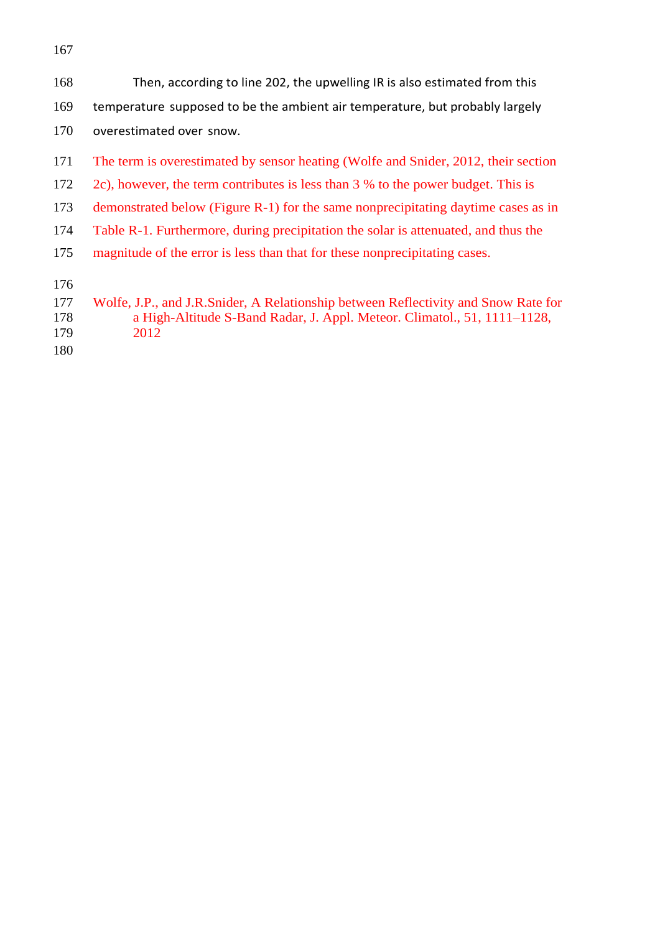Then, according to line 202, the upwelling IR is also estimated from this temperature supposed to be the ambient air temperature, but probably largely 170 overestimated over snow. The term is overestimated by sensor heating (Wolfe and Snider, 2012, their section 2c), however, the term contributes is less than 3 % to the power budget. This is demonstrated below (Figure R-1) for the same nonprecipitating daytime cases as in Table R-1. Furthermore, during precipitation the solar is attenuated, and thus the magnitude of the error is less than that for these nonprecipitating cases.

- Wolfe, J.P., and J.R.Snider, A Relationship between Reflectivity and Snow Rate for a High-Altitude S-Band Radar, J. Appl. Meteor. Climatol., 51, 1111–1128, 2012
-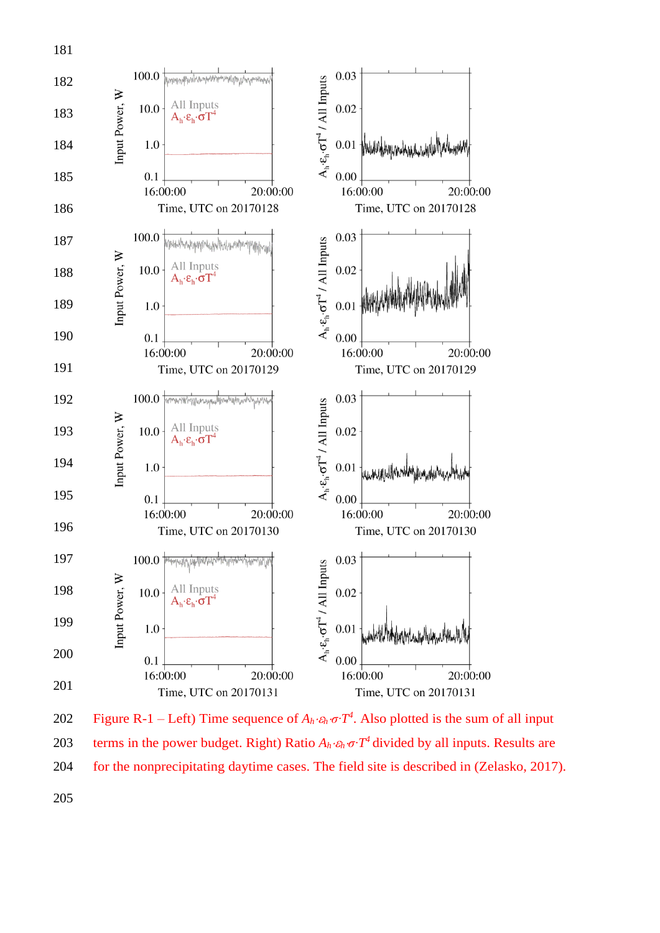

202 Figure R-1 − Left) Time sequence of  $A_h$ *⋅ε<sub>h</sub>*  $\sigma$ <sup>*-T*<sup>4</sup></sup>. Also plotted is the sum of all input 203 terms in the power budget. Right) Ratio  $A_h \cdot \varepsilon_h \cdot \sigma \cdot T^4$  divided by all inputs. Results are for the nonprecipitating daytime cases. The field site is described in (Zelasko, 2017).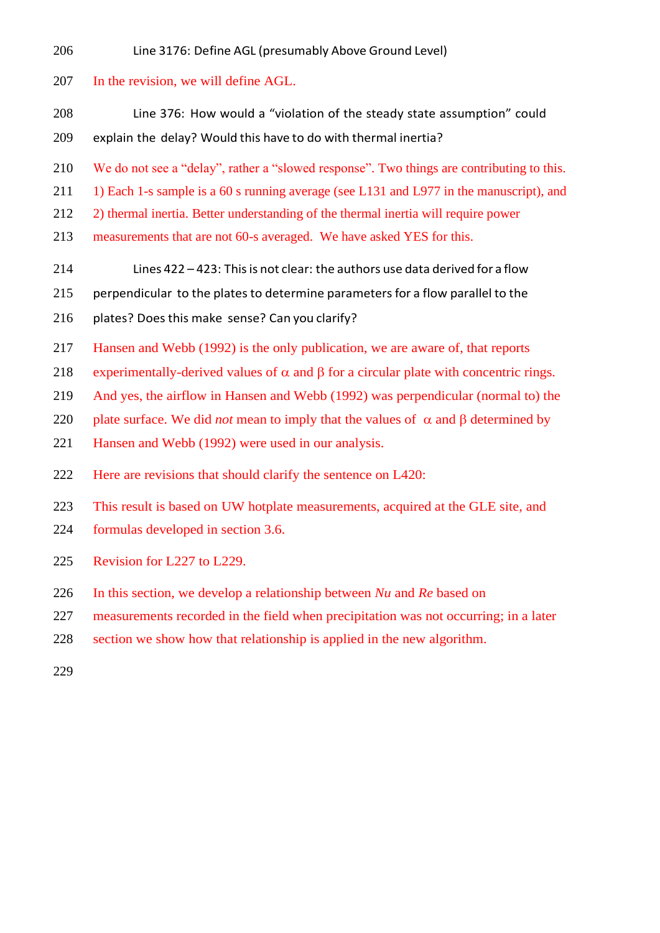Line 3176: Define AGL (presumably Above Ground Level)

## In the revision, we will define AGL.

- Line 376: How would a "violation of the steady state assumption" could explain the delay? Would this have to do with thermal inertia?
- We do not see a "delay", rather a "slowed response". Two things are contributing to this.
- 211 1) Each 1-s sample is a 60 s running average (see L131 and L977 in the manuscript), and
- 2) thermal inertia. Better understanding of the thermal inertia will require power
- measurements that are not 60-s averaged. We have asked YES for this.
- Lines 422 423: Thisis not clear: the authors use data derived for a flow
- 215 perpendicular to the plates to determine parameters for a flow parallel to the
- 216 plates? Does this make sense? Can you clarify?
- Hansen and Webb (1992) is the only publication, we are aware of, that reports
- 218 experimentally-derived values of  $\alpha$  and  $\beta$  for a circular plate with concentric rings.
- And yes, the airflow in Hansen and Webb (1992) was perpendicular (normal to) the
- 220 plate surface. We did *not* mean to imply that the values of  $\alpha$  and  $\beta$  determined by
- Hansen and Webb (1992) were used in our analysis.
- Here are revisions that should clarify the sentence on L420:
- This result is based on UW hotplate measurements, acquired at the GLE site, and
- formulas developed in section 3.6.
- Revision for L227 to L229.
- In this section, we develop a relationship between *Nu* and *Re* based on
- measurements recorded in the field when precipitation was not occurring; in a later
- section we show how that relationship is applied in the new algorithm.
-